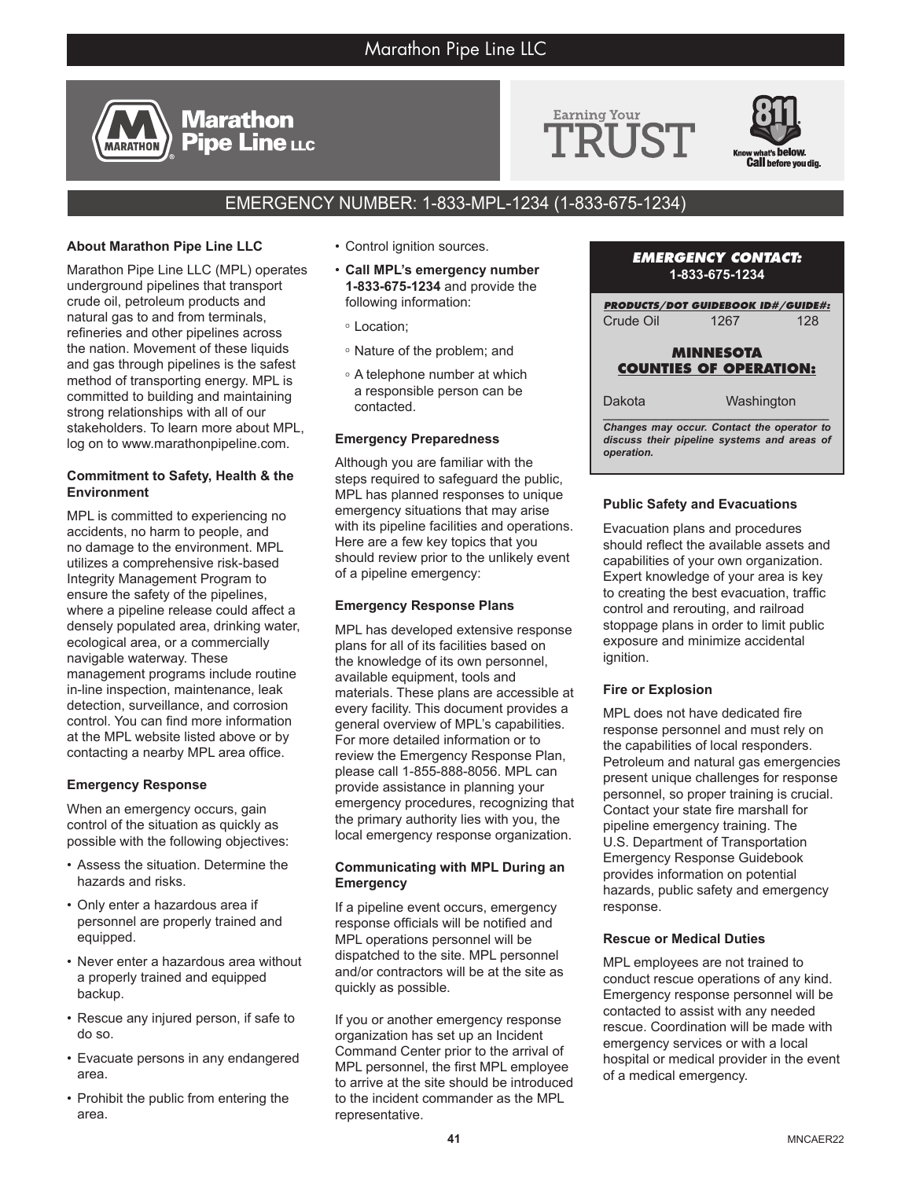# Marathon Pipe Line LLC





# EMERGENCY NUMBER: 1-833-MPL-1234 (1-833-675-1234)

# **About Marathon Pipe Line LLC**

**MARATHON** 

Marathon Pipe Line LLC (MPL) operates underground pipelines that transport crude oil, petroleum products and natural gas to and from terminals, refineries and other pipelines across the nation. Movement of these liquids and gas through pipelines is the safest method of transporting energy. MPL is committed to building and maintaining strong relationships with all of our stakeholders. To learn more about MPL, log on to www.marathonpipeline.com.

**Marathon Pipe Line LLC** 

#### **Commitment to Safety, Health & the Environment**

MPL is committed to experiencing no accidents, no harm to people, and no damage to the environment. MPL utilizes a comprehensive risk-based Integrity Management Program to ensure the safety of the pipelines, where a pipeline release could affect a densely populated area, drinking water, ecological area, or a commercially navigable waterway. These management programs include routine in-line inspection, maintenance, leak detection, surveillance, and corrosion control. You can find more information at the MPL website listed above or by contacting a nearby MPL area office.

#### **Emergency Response**

When an emergency occurs, gain control of the situation as quickly as possible with the following objectives:

- Assess the situation. Determine the hazards and risks.
- Only enter a hazardous area if personnel are properly trained and equipped.
- Never enter a hazardous area without a properly trained and equipped backup.
- Rescue any injured person, if safe to do so.
- Evacuate persons in any endangered area.
- Prohibit the public from entering the area.
- Control ignition sources.
- **Call MPL's emergency number 1-833-675-1234** and provide the following information:
	- <sup>o</sup> Location;
	- <sup>o</sup> Nature of the problem; and
	- <sup>o</sup> A telephone number at which a responsible person can be contacted.

#### **Emergency Preparedness**

Although you are familiar with the steps required to safeguard the public, MPL has planned responses to unique emergency situations that may arise with its pipeline facilities and operations. Here are a few key topics that you should review prior to the unlikely event of a pipeline emergency:

#### **Emergency Response Plans**

MPL has developed extensive response plans for all of its facilities based on the knowledge of its own personnel, available equipment, tools and materials. These plans are accessible at every facility. This document provides a general overview of MPL's capabilities. For more detailed information or to review the Emergency Response Plan, please call 1-855-888-8056. MPL can provide assistance in planning your emergency procedures, recognizing that the primary authority lies with you, the local emergency response organization.

#### **Communicating with MPL During an Emergency**

If a pipeline event occurs, emergency response officials will be notified and MPL operations personnel will be dispatched to the site. MPL personnel and/or contractors will be at the site as quickly as possible.

If you or another emergency response organization has set up an Incident Command Center prior to the arrival of MPL personnel, the first MPL employee to arrive at the site should be introduced to the incident commander as the MPL representative.

#### *EMERGENCY CONTACT:* **1-833-675-1234**

*PRODUCTS/DOT GUIDEBOOK ID#/GUIDE#:* Crude Oil 1267 128

# **MINNESOTA COUNTIES OF OPERATION:**

*\_\_\_\_\_\_\_\_\_\_\_\_\_\_\_\_\_\_\_\_\_\_\_\_\_\_\_\_\_\_\_\_\_\_\_\_\_\_\_* Dakota Washington

*Changes may occur. Contact the operator to discuss their pipeline systems and areas of operation.*

## **Public Safety and Evacuations**

Evacuation plans and procedures should reflect the available assets and capabilities of your own organization. Expert knowledge of your area is key to creating the best evacuation, traffic control and rerouting, and railroad stoppage plans in order to limit public exposure and minimize accidental ignition.

#### **Fire or Explosion**

MPL does not have dedicated fire response personnel and must rely on the capabilities of local responders. Petroleum and natural gas emergencies present unique challenges for response personnel, so proper training is crucial. Contact your state fire marshall for pipeline emergency training. The U.S. Department of Transportation Emergency Response Guidebook provides information on potential hazards, public safety and emergency response.

#### **Rescue or Medical Duties**

MPL employees are not trained to conduct rescue operations of any kind. Emergency response personnel will be contacted to assist with any needed rescue. Coordination will be made with emergency services or with a local hospital or medical provider in the event of a medical emergency.